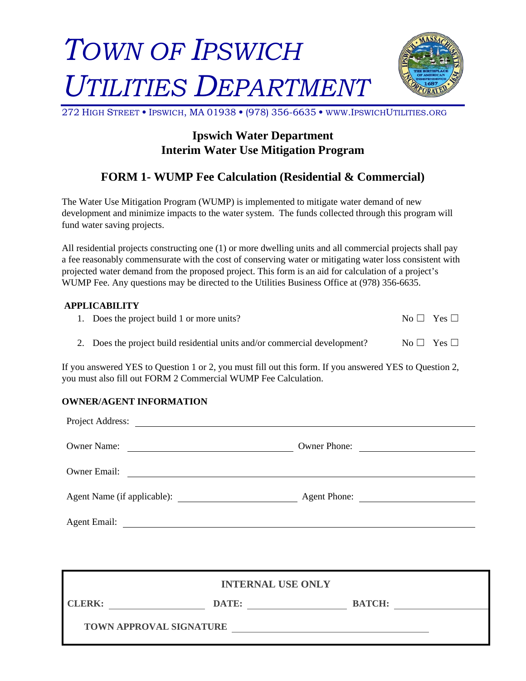# *TOWN OF IPSWICH UTILITIES DEPARTMENT*



272 HIGH STREET **•** IPSWICH, MA 01938 **•** (978) 356-6635 **•** WWW.IPSWICHUTILITIES.ORG

## **Ipswich Water Department Interim Water Use Mitigation Program**

## **FORM 1- WUMP Fee Calculation (Residential & Commercial)**

The Water Use Mitigation Program (WUMP) is implemented to mitigate water demand of new development and minimize impacts to the water system. The funds collected through this program will fund water saving projects.

All residential projects constructing one (1) or more dwelling units and all commercial projects shall pay a fee reasonably commensurate with the cost of conserving water or mitigating water loss consistent with projected water demand from the proposed project. This form is an aid for calculation of a project's WUMP Fee. Any questions may be directed to the Utilities Business Office at (978) 356-6635.

#### **APPLICABILITY**

| 1. Does the project build 1 or more units?                                 | $No \Box Yes \Box$ |
|----------------------------------------------------------------------------|--------------------|
| 2. Does the project build residential units and/or commercial development? | $No \Box Yes \Box$ |

If you answered YES to Question 1 or 2, you must fill out this form. If you answered YES to Question 2, you must also fill out FORM 2 Commercial WUMP Fee Calculation.

### **OWNER/AGENT INFORMATION**

| Project Address:<br><u> 1980 - Johann Barn, mars and de Britain (b. 1980)</u>                         |                                                                 |  |  |
|-------------------------------------------------------------------------------------------------------|-----------------------------------------------------------------|--|--|
| <b>Owner Name:</b><br>the contract of the contract of the contract of the contract of the contract of | Owner Phone:<br><u> 1986 - John Stein, Amerikaansk kanton (</u> |  |  |
| <b>Owner Email:</b>                                                                                   |                                                                 |  |  |
| Agent Name (if applicable):                                                                           | Agent Phone:                                                    |  |  |
| <b>Agent Email:</b>                                                                                   |                                                                 |  |  |

|               | <b>INTERNAL USE ONLY</b>       |               |  |
|---------------|--------------------------------|---------------|--|
| <b>CLERK:</b> | DATE:                          | <b>BATCH:</b> |  |
|               | <b>TOWN APPROVAL SIGNATURE</b> |               |  |